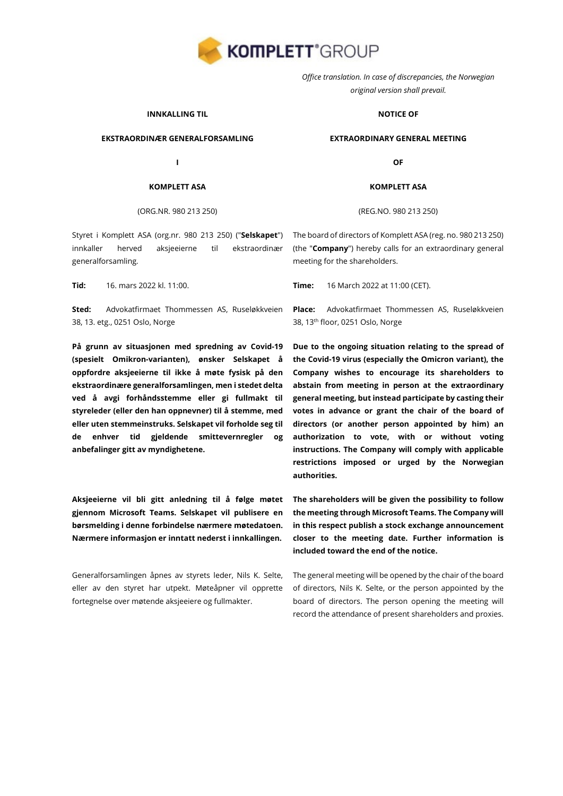

*Office translation. In case of discrepancies, the Norwegian original version shall prevail.*

### **INNKALLING TIL**

### **EKSTRAORDINÆR GENERALFORSAMLING**

**I**

### **KOMPLETT ASA**

### (ORG.NR. 980 213 250)

Styret i Komplett ASA (org.nr. 980 213 250) ("**Selskapet**") innkaller herved aksjeeierne til ekstraordinær generalforsamling.

**Sted:** Advokatfirmaet Thommessen AS, Ruseløkkveien 38, 13. etg., 0251 Oslo, Norge

**På grunn av situasjonen med spredning av Covid-19 (spesielt Omikron-varianten), ønsker Selskapet å oppfordre aksjeeierne til ikke å møte fysisk på den ekstraordinære generalforsamlingen, men i stedet delta ved å avgi forhåndsstemme eller gi fullmakt til styreleder (eller den han oppnevner) til å stemme, med eller uten stemmeinstruks. Selskapet vil forholde seg til de enhver tid gjeldende smittevernregler og anbefalinger gitt av myndighetene.**

**Aksjeeierne vil bli gitt anledning til å følge møtet gjennom Microsoft Teams. Selskapet vil publisere en børsmelding i denne forbindelse nærmere møtedatoen. Nærmere informasjon er inntatt nederst i innkallingen.** 

Generalforsamlingen åpnes av styrets leder, Nils K. Selte, eller av den styret har utpekt. Møteåpner vil opprette fortegnelse over møtende aksjeeiere og fullmakter.

### **NOTICE OF**

#### **EXTRAORDINARY GENERAL MEETING**

**OF**

#### **KOMPLETT ASA**

(REG.NO. 980 213 250)

The board of directors of Komplett ASA (reg. no. 980 213 250) (the "**Company**") hereby calls for an extraordinary general meeting for the shareholders.

**Tid:** 16. mars 2022 kl. 11:00. **Time:** 16 March 2022 at 11:00 (CET).

**Place:** Advokatfirmaet Thommessen AS, Ruseløkkveien 38, 13th floor, 0251 Oslo, Norge

**Due to the ongoing situation relating to the spread of the Covid-19 virus (especially the Omicron variant), the Company wishes to encourage its shareholders to abstain from meeting in person at the extraordinary general meeting, but instead participate by casting their votes in advance or grant the chair of the board of directors (or another person appointed by him) an authorization to vote, with or without voting instructions. The Company will comply with applicable restrictions imposed or urged by the Norwegian authorities.**

**The shareholders will be given the possibility to follow the meeting through Microsoft Teams. The Company will in this respect publish a stock exchange announcement closer to the meeting date. Further information is included toward the end of the notice.**

The general meeting will be opened by the chair of the board of directors, Nils K. Selte, or the person appointed by the board of directors. The person opening the meeting will record the attendance of present shareholders and proxies.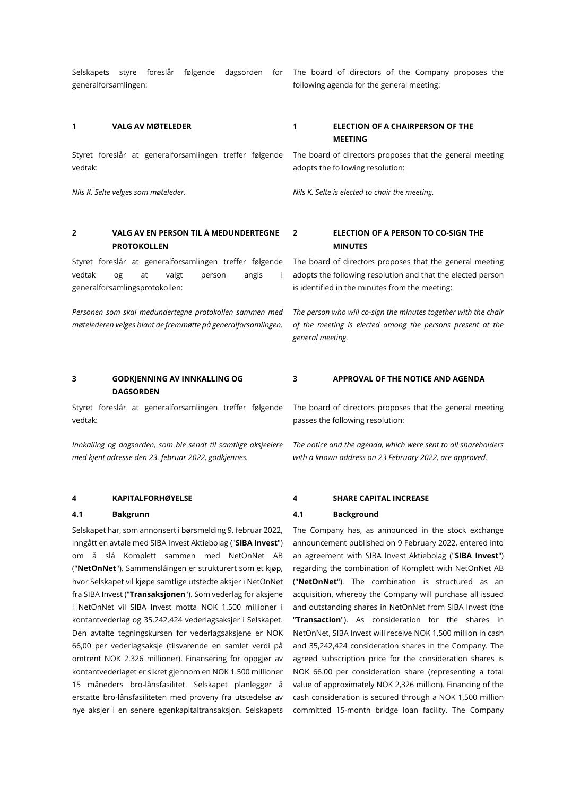Selskapets styre foreslår følgende dagsorden for generalforsamlingen:

Styret foreslår at generalforsamlingen treffer følgende vedtak:

# **2 VALG AV EN PERSON TIL Å MEDUNDERTEGNE PROTOKOLLEN**

Styret foreslår at generalforsamlingen treffer følgende vedtak og at valgt person angis i generalforsamlingsprotokollen:

*Personen som skal medundertegne protokollen sammen med møtelederen velges blant de fremmøtte på generalforsamlingen.*

# **1 VALG AV MØTELEDER 1 ELECTION OF A CHAIRPERSON OF THE MEETING**

The board of directors proposes that the general meeting adopts the following resolution:

The board of directors of the Company proposes the

*Nils K. Selte velges som møteleder. Nils K. Selte is elected to chair the meeting.*

following agenda for the general meeting:

# **2 ELECTION OF A PERSON TO CO-SIGN THE MINUTES**

The board of directors proposes that the general meeting adopts the following resolution and that the elected person is identified in the minutes from the meeting:

*The person who will co-sign the minutes together with the chair of the meeting is elected among the persons present at the general meeting.*

#### **3 GODKJENNING AV INNKALLING OG DAGSORDEN 3 APPROVAL OF THE NOTICE AND AGENDA**

Styret foreslår at generalforsamlingen treffer følgende vedtak:

*Innkalling og dagsorden, som ble sendt til samtlige aksjeeiere med kjent adresse den 23. februar 2022, godkjennes.*

Selskapet har, som annonsert i børsmelding 9. februar 2022, inngått en avtale med SIBA Invest Aktiebolag ("**SIBA Invest**") om å slå Komplett sammen med NetOnNet AB ("**NetOnNet**"). Sammenslåingen er strukturert som et kjøp, hvor Selskapet vil kjøpe samtlige utstedte aksjer i NetOnNet fra SIBA Invest ("**Transaksjonen**"). Som vederlag for aksjene i NetOnNet vil SIBA Invest motta NOK 1.500 millioner i kontantvederlag og 35.242.424 vederlagsaksjer i Selskapet. Den avtalte tegningskursen for vederlagsaksjene er NOK 66,00 per vederlagsaksje (tilsvarende en samlet verdi på omtrent NOK 2.326 millioner). Finansering for oppgjør av kontantvederlaget er sikret gjennom en NOK 1.500 millioner 15 måneders bro-lånsfasilitet. Selskapet planlegger å erstatte bro-lånsfasiliteten med proveny fra utstedelse av nye aksjer i en senere egenkapitaltransaksjon. Selskapets The board of directors proposes that the general meeting passes the following resolution:

*The notice and the agenda, which were sent to all shareholders with a known address on 23 February 2022, are approved.*

### **4 KAPITALFORHØYELSE 4 SHARE CAPITAL INCREASE**

#### **4.1 Bakgrunn 4.1 Background**

The Company has, as announced in the stock exchange announcement published on 9 February 2022, entered into an agreement with SIBA Invest Aktiebolag ("**SIBA Invest**") regarding the combination of Komplett with NetOnNet AB ("**NetOnNet**"). The combination is structured as an acquisition, whereby the Company will purchase all issued and outstanding shares in NetOnNet from SIBA Invest (the "**Transaction**"). As consideration for the shares in NetOnNet, SIBA Invest will receive NOK 1,500 million in cash and 35,242,424 consideration shares in the Company. The agreed subscription price for the consideration shares is NOK 66.00 per consideration share (representing a total value of approximately NOK 2,326 million). Financing of the cash consideration is secured through a NOK 1,500 million committed 15-month bridge loan facility. The Company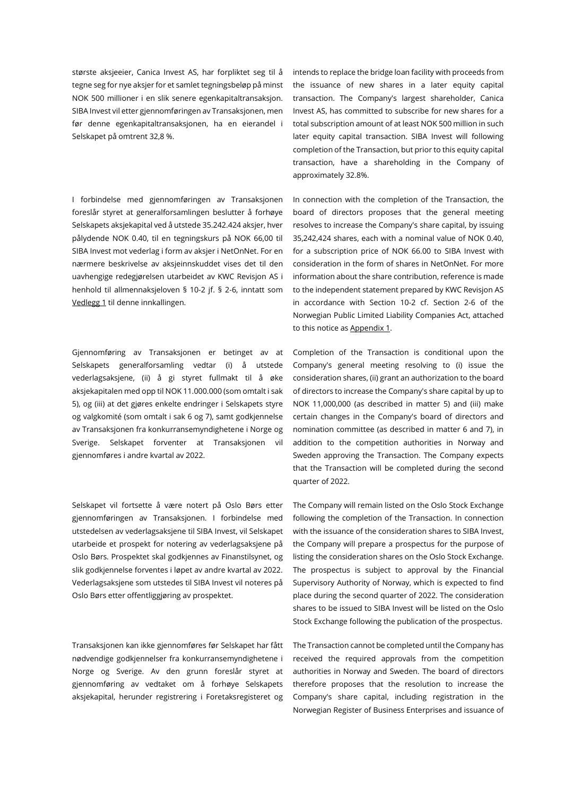største aksjeeier, Canica Invest AS, har forpliktet seg til å tegne seg for nye aksjer for et samlet tegningsbeløp på minst NOK 500 millioner i en slik senere egenkapitaltransaksjon. SIBA Invest vil etter gjennomføringen av Transaksjonen, men før denne egenkapitaltransaksjonen, ha en eierandel i Selskapet på omtrent 32,8 %.

I forbindelse med gjennomføringen av Transaksjonen foreslår styret at generalforsamlingen beslutter å forhøye Selskapets aksjekapital ved å utstede 35.242.424 aksjer, hver pålydende NOK 0.40, til en tegningskurs på NOK 66,00 til SIBA Invest mot vederlag i form av aksjer i NetOnNet. For en nærmere beskrivelse av aksjeinnskuddet vises det til den uavhengige redegjørelsen utarbeidet av KWC Revisjon AS i henhold til allmennaksjeloven § 10-2 jf. § 2-6, inntatt som Vedlegg 1 til denne innkallingen.

Gjennomføring av Transaksjonen er betinget av at Selskapets generalforsamling vedtar (i) å utstede vederlagsaksjene, (ii) å gi styret fullmakt til å øke aksjekapitalen med opp til NOK 11.000.000 (som omtalt i sak 5), og (iii) at det gjøres enkelte endringer i Selskapets styre og valgkomité (som omtalt i sak 6 og 7), samt godkjennelse av Transaksjonen fra konkurransemyndighetene i Norge og Sverige. Selskapet forventer at Transaksjonen vil gjennomføres i andre kvartal av 2022.

Selskapet vil fortsette å være notert på Oslo Børs etter gjennomføringen av Transaksjonen. I forbindelse med utstedelsen av vederlagsaksjene til SIBA Invest, vil Selskapet utarbeide et prospekt for notering av vederlagsaksjene på Oslo Børs. Prospektet skal godkjennes av Finanstilsynet, og slik godkjennelse forventes i løpet av andre kvartal av 2022. Vederlagsaksjene som utstedes til SIBA Invest vil noteres på Oslo Børs etter offentliggjøring av prospektet.

Transaksjonen kan ikke gjennomføres før Selskapet har fått nødvendige godkjennelser fra konkurransemyndighetene i Norge og Sverige. Av den grunn foreslår styret at gjennomføring av vedtaket om å forhøye Selskapets aksjekapital, herunder registrering i Foretaksregisteret og

intends to replace the bridge loan facility with proceeds from the issuance of new shares in a later equity capital transaction. The Company's largest shareholder, Canica Invest AS, has committed to subscribe for new shares for a total subscription amount of at least NOK 500 million in such later equity capital transaction. SIBA Invest will following completion of the Transaction, but prior to this equity capital transaction, have a shareholding in the Company of approximately 32.8%.

In connection with the completion of the Transaction, the board of directors proposes that the general meeting resolves to increase the Company's share capital, by issuing 35,242,424 shares, each with a nominal value of NOK 0.40, for a subscription price of NOK 66.00 to SIBA Invest with consideration in the form of shares in NetOnNet. For more information about the share contribution, reference is made to the independent statement prepared by KWC Revisjon AS in accordance with Section 10-2 cf. Section 2-6 of the Norwegian Public Limited Liability Companies Act, attached to this notice as Appendix 1.

Completion of the Transaction is conditional upon the Company's general meeting resolving to (i) issue the consideration shares, (ii) grant an authorization to the board of directors to increase the Company's share capital by up to NOK 11,000,000 (as described in matter 5) and (iii) make certain changes in the Company's board of directors and nomination committee (as described in matter 6 and 7), in addition to the competition authorities in Norway and Sweden approving the Transaction. The Company expects that the Transaction will be completed during the second quarter of 2022.

The Company will remain listed on the Oslo Stock Exchange following the completion of the Transaction. In connection with the issuance of the consideration shares to SIBA Invest, the Company will prepare a prospectus for the purpose of listing the consideration shares on the Oslo Stock Exchange. The prospectus is subject to approval by the Financial Supervisory Authority of Norway, which is expected to find place during the second quarter of 2022. The consideration shares to be issued to SIBA Invest will be listed on the Oslo Stock Exchange following the publication of the prospectus.

The Transaction cannot be completed until the Company has received the required approvals from the competition authorities in Norway and Sweden. The board of directors therefore proposes that the resolution to increase the Company's share capital, including registration in the Norwegian Register of Business Enterprises and issuance of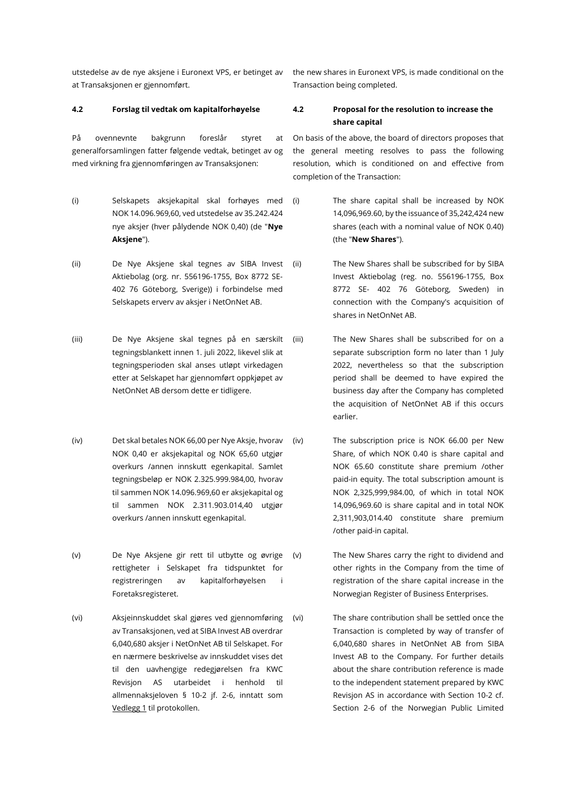utstedelse av de nye aksjene i Euronext VPS, er betinget av at Transaksjonen er gjennomført.

På ovennevnte bakgrunn foreslår styret at generalforsamlingen fatter følgende vedtak, betinget av og med virkning fra gjennomføringen av Transaksjonen:

- (i) Selskapets aksjekapital skal forhøyes med NOK 14.096.969,60, ved utstedelse av 35.242.424 nye aksjer (hver pålydende NOK 0,40) (de "**Nye Aksjene**").
- (ii) De Nye Aksjene skal tegnes av SIBA Invest Aktiebolag (org. nr. 556196-1755, Box 8772 SE-402 76 Göteborg, Sverige)) i forbindelse med Selskapets erverv av aksjer i NetOnNet AB.
- (iii) De Nye Aksjene skal tegnes på en særskilt tegningsblankett innen 1. juli 2022, likevel slik at tegningsperioden skal anses utløpt virkedagen etter at Selskapet har gjennomført oppkjøpet av NetOnNet AB dersom dette er tidligere.
- (iv) Det skal betales NOK 66,00 per Nye Aksje, hvorav NOK 0,40 er aksjekapital og NOK 65,60 utgjør overkurs /annen innskutt egenkapital. Samlet tegningsbeløp er NOK 2.325.999.984,00, hvorav til sammen NOK 14.096.969,60 er aksjekapital og til sammen NOK 2.311.903.014,40 utgjør overkurs /annen innskutt egenkapital.
- (v) De Nye Aksjene gir rett til utbytte og øvrige rettigheter i Selskapet fra tidspunktet for registreringen av kapitalforhøyelsen i Foretaksregisteret.
- (vi) Aksjeinnskuddet skal gjøres ved gjennomføring av Transaksjonen, ved at SIBA Invest AB overdrar 6,040,680 aksjer i NetOnNet AB til Selskapet. For en nærmere beskrivelse av innskuddet vises det til den uavhengige redegjørelsen fra KWC Revisjon AS utarbeidet i henhold til allmennaksjeloven § 10-2 jf. 2-6, inntatt som Vedlegg 1 til protokollen.

the new shares in Euronext VPS, is made conditional on the Transaction being completed.

# **4.2 Forslag til vedtak om kapitalforhøyelse 4.2 Proposal for the resolution to increase the share capital**

On basis of the above, the board of directors proposes that the general meeting resolves to pass the following resolution, which is conditioned on and effective from completion of the Transaction:

- (i) The share capital shall be increased by NOK 14,096,969.60, by the issuance of 35,242,424 new shares (each with a nominal value of NOK 0.40) (the "**New Shares**").
- (ii) The New Shares shall be subscribed for by SIBA Invest Aktiebolag (reg. no. 556196-1755, Box 8772 SE- 402 76 Göteborg, Sweden) in connection with the Company's acquisition of shares in NetOnNet AB.
- (iii) The New Shares shall be subscribed for on a separate subscription form no later than 1 July 2022, nevertheless so that the subscription period shall be deemed to have expired the business day after the Company has completed the acquisition of NetOnNet AB if this occurs earlier.
- (iv) The subscription price is NOK 66.00 per New Share, of which NOK 0.40 is share capital and NOK 65.60 constitute share premium /other paid-in equity. The total subscription amount is NOK 2,325,999,984.00, of which in total NOK 14,096,969.60 is share capital and in total NOK 2,311,903,014.40 constitute share premium /other paid-in capital.
- (v) The New Shares carry the right to dividend and other rights in the Company from the time of registration of the share capital increase in the Norwegian Register of Business Enterprises.
- (vi) The share contribution shall be settled once the Transaction is completed by way of transfer of 6,040,680 shares in NetOnNet AB from SIBA Invest AB to the Company. For further details about the share contribution reference is made to the independent statement prepared by KWC Revisjon AS in accordance with Section 10-2 cf. Section 2-6 of the Norwegian Public Limited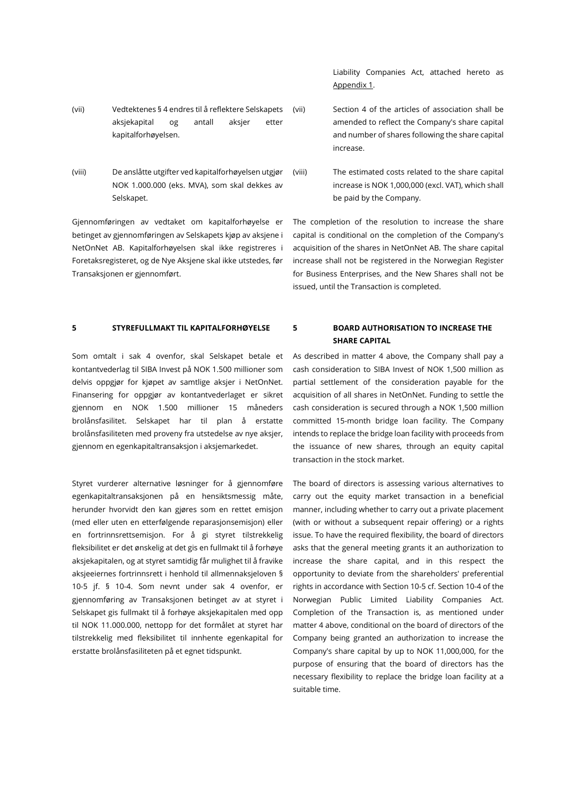- (vii) Vedtektenes § 4 endres til å reflektere Selskapets aksjekapital og antall aksjer etter kapitalforhøyelsen.
- (viii) De anslåtte utgifter ved kapitalforhøyelsen utgjør NOK 1.000.000 (eks. MVA), som skal dekkes av Selskapet.

Gjennomføringen av vedtaket om kapitalforhøyelse er betinget av gjennomføringen av Selskapets kjøp av aksjene i NetOnNet AB. Kapitalforhøyelsen skal ikke registreres i Foretaksregisteret, og de Nye Aksjene skal ikke utstedes, før Transaksjonen er gjennomført.

Som omtalt i sak 4 ovenfor, skal Selskapet betale et kontantvederlag til SIBA Invest på NOK 1.500 millioner som delvis oppgjør for kjøpet av samtlige aksjer i NetOnNet. Finansering for oppgjør av kontantvederlaget er sikret gjennom en NOK 1.500 millioner 15 måneders brolånsfasilitet. Selskapet har til plan å erstatte brolånsfasiliteten med proveny fra utstedelse av nye aksjer, gjennom en egenkapitaltransaksjon i aksjemarkedet.

Styret vurderer alternative løsninger for å gjennomføre egenkapitaltransaksjonen på en hensiktsmessig måte, herunder hvorvidt den kan gjøres som en rettet emisjon (med eller uten en etterfølgende reparasjonsemisjon) eller en fortrinnsrettsemisjon. For å gi styret tilstrekkelig fleksibilitet er det ønskelig at det gis en fullmakt til å forhøye aksjekapitalen, og at styret samtidig får mulighet til å fravike aksjeeiernes fortrinnsrett i henhold til allmennaksjeloven § 10-5 jf. § 10-4. Som nevnt under sak 4 ovenfor, er gjennomføring av Transaksjonen betinget av at styret i Selskapet gis fullmakt til å forhøye aksjekapitalen med opp til NOK 11.000.000, nettopp for det formålet at styret har tilstrekkelig med fleksibilitet til innhente egenkapital for erstatte brolånsfasiliteten på et egnet tidspunkt.

Liability Companies Act, attached hereto as Appendix 1.

- (vii) Section 4 of the articles of association shall be amended to reflect the Company's share capital and number of shares following the share capital increase.
- (viii) The estimated costs related to the share capital increase is NOK 1,000,000 (excl. VAT), which shall be paid by the Company.

The completion of the resolution to increase the share capital is conditional on the completion of the Company's acquisition of the shares in NetOnNet AB. The share capital increase shall not be registered in the Norwegian Register for Business Enterprises, and the New Shares shall not be issued, until the Transaction is completed.

# **5 STYREFULLMAKT TIL KAPITALFORHØYELSE 5 BOARD AUTHORISATION TO INCREASE THE SHARE CAPITAL**

As described in matter 4 above, the Company shall pay a cash consideration to SIBA Invest of NOK 1,500 million as partial settlement of the consideration payable for the acquisition of all shares in NetOnNet. Funding to settle the cash consideration is secured through a NOK 1,500 million committed 15-month bridge loan facility. The Company intends to replace the bridge loan facility with proceeds from the issuance of new shares, through an equity capital transaction in the stock market.

The board of directors is assessing various alternatives to carry out the equity market transaction in a beneficial manner, including whether to carry out a private placement (with or without a subsequent repair offering) or a rights issue. To have the required flexibility, the board of directors asks that the general meeting grants it an authorization to increase the share capital, and in this respect the opportunity to deviate from the shareholders' preferential rights in accordance with Section 10-5 cf. Section 10-4 of the Norwegian Public Limited Liability Companies Act. Completion of the Transaction is, as mentioned under matter 4 above, conditional on the board of directors of the Company being granted an authorization to increase the Company's share capital by up to NOK 11,000,000, for the purpose of ensuring that the board of directors has the necessary flexibility to replace the bridge loan facility at a suitable time.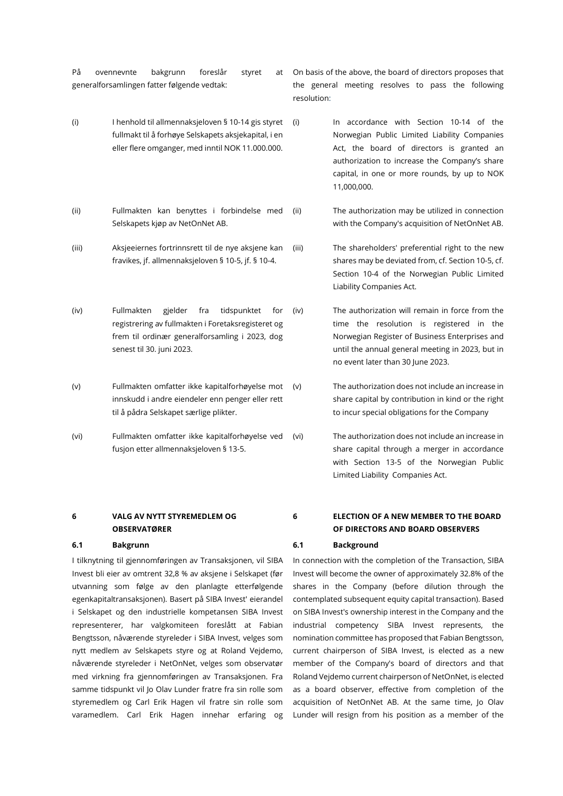På ovennevnte bakgrunn foreslår styret at generalforsamlingen fatter følgende vedtak:

- (i) I henhold til allmennaksjeloven § 10-14 gis styret fullmakt til å forhøye Selskapets aksjekapital, i en eller flere omganger, med inntil NOK 11.000.000.
- (ii) Fullmakten kan benyttes i forbindelse med Selskapets kjøp av NetOnNet AB.
- (iii) Aksjeeiernes fortrinnsrett til de nye aksjene kan fravikes, jf. allmennaksjeloven § 10-5, jf. § 10-4.
- (iv) Fullmakten gjelder fra tidspunktet for registrering av fullmakten i Foretaksregisteret og frem til ordinær generalforsamling i 2023, dog senest til 30. juni 2023.
- (v) Fullmakten omfatter ikke kapitalforhøyelse mot innskudd i andre eiendeler enn penger eller rett til å pådra Selskapet særlige plikter.
- (vi) Fullmakten omfatter ikke kapitalforhøyelse ved fusjon etter allmennaksjeloven § 13-5.

# **6 VALG AV NYTT STYREMEDLEM OG OBSERVATØRER**

**6.1 Bakgrunn 6.1 Background**

I tilknytning til gjennomføringen av Transaksjonen, vil SIBA Invest bli eier av omtrent 32,8 % av aksjene i Selskapet (før utvanning som følge av den planlagte etterfølgende egenkapitaltransaksjonen). Basert på SIBA Invest' eierandel i Selskapet og den industrielle kompetansen SIBA Invest representerer, har valgkomiteen foreslått at Fabian Bengtsson, nåværende styreleder i SIBA Invest, velges som nytt medlem av Selskapets styre og at Roland Vejdemo, nåværende styreleder i NetOnNet, velges som observatør med virkning fra gjennomføringen av Transaksjonen. Fra samme tidspunkt vil Jo Olav Lunder fratre fra sin rolle som styremedlem og Carl Erik Hagen vil fratre sin rolle som varamedlem. Carl Erik Hagen innehar erfaring og

On basis of the above, the board of directors proposes that the general meeting resolves to pass the following resolution:

(i) In accordance with Section 10-14 of the Norwegian Public Limited Liability Companies Act, the board of directors is granted an authorization to increase the Company's share capital, in one or more rounds, by up to NOK 11,000,000.

(ii) The authorization may be utilized in connection with the Company's acquisition of NetOnNet AB.

(iii) The shareholders' preferential right to the new shares may be deviated from, cf. Section 10-5, cf. Section 10-4 of the Norwegian Public Limited Liability Companies Act.

(iv) The authorization will remain in force from the time the resolution is registered in the Norwegian Register of Business Enterprises and until the annual general meeting in 2023, but in no event later than 30 June 2023.

(v) The authorization does not include an increase in share capital by contribution in kind or the right to incur special obligations for the Company

(vi) The authorization does not include an increase in share capital through a merger in accordance with Section 13-5 of the Norwegian Public Limited Liability Companies Act.

**6 ELECTION OF A NEW MEMBER TO THE BOARD OF DIRECTORS AND BOARD OBSERVERS**

In connection with the completion of the Transaction, SIBA Invest will become the owner of approximately 32.8% of the shares in the Company (before dilution through the contemplated subsequent equity capital transaction). Based on SIBA Invest's ownership interest in the Company and the industrial competency SIBA Invest represents, the nomination committee has proposed that Fabian Bengtsson, current chairperson of SIBA Invest, is elected as a new member of the Company's board of directors and that Roland Vejdemo current chairperson of NetOnNet, is elected as a board observer, effective from completion of the acquisition of NetOnNet AB. At the same time, Jo Olav Lunder will resign from his position as a member of the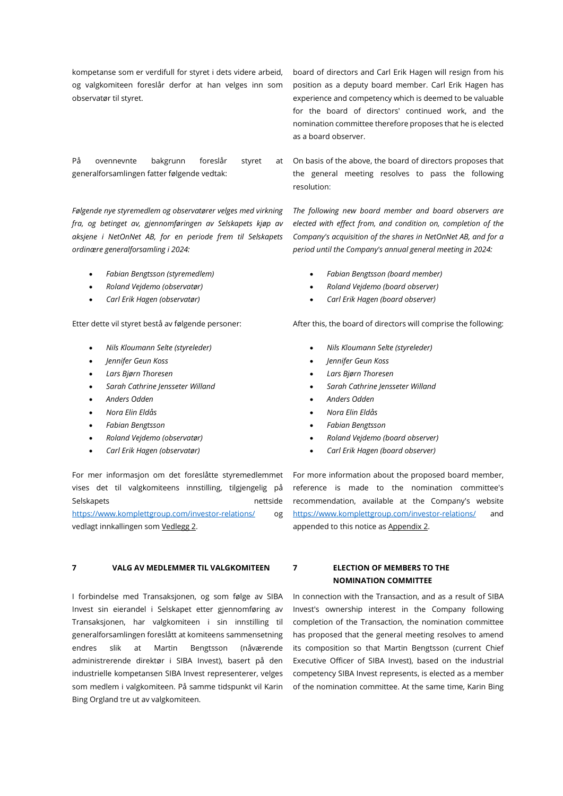kompetanse som er verdifull for styret i dets videre arbeid, og valgkomiteen foreslår derfor at han velges inn som observatør til styret.

På ovennevnte bakgrunn foreslår styret at generalforsamlingen fatter følgende vedtak:

*Følgende nye styremedlem og observatører velges med virkning fra, og betinget av, gjennomføringen av Selskapets kjøp av aksjene i NetOnNet AB, for en periode frem til Selskapets ordinære generalforsamling i 2024:*

- *Fabian Bengtsson (styremedlem)*
- *Roland Vejdemo (observatør)*
- *Carl Erik Hagen (observatør)*

- 
- 
- 
- 
- 
- 
- 
- 
- 

For mer informasjon om det foreslåtte styremedlemmet vises det til valgkomiteens innstilling, tilgjengelig på Selskapets nettside <https://www.komplettgroup.com/investor-relations/> og vedlagt innkallingen som Vedlegg 2.

### **7 VALG AV MEDLEMMER TIL VALGKOMITEEN 7 ELECTION OF MEMBERS TO THE**

I forbindelse med Transaksjonen, og som følge av SIBA Invest sin eierandel i Selskapet etter gjennomføring av Transaksjonen, har valgkomiteen i sin innstilling til generalforsamlingen foreslått at komiteens sammensetning endres slik at Martin Bengtsson (nåværende administrerende direktør i SIBA Invest), basert på den industrielle kompetansen SIBA Invest representerer, velges som medlem i valgkomiteen. På samme tidspunkt vil Karin Bing Orgland tre ut av valgkomiteen.

board of directors and Carl Erik Hagen will resign from his position as a deputy board member. Carl Erik Hagen has experience and competency which is deemed to be valuable for the board of directors' continued work, and the nomination committee therefore proposes that he is elected as a board observer.

On basis of the above, the board of directors proposes that the general meeting resolves to pass the following resolution:

*The following new board member and board observers are elected with effect from, and condition on, completion of the Company's acquisition of the shares in NetOnNet AB, and for a period until the Company's annual general meeting in 2024:*

- *Fabian Bengtsson (board member)*
- *Roland Vejdemo (board observer)*
- *Carl Erik Hagen (board observer)*

Etter dette vil styret bestå av følgende personer: After this, the board of directors will comprise the following:

- *Nils Kloumann Selte (styreleder) Nils Kloumann Selte (styreleder)*
- *Jennifer Geun Koss Jennifer Geun Koss*
- *Lars Bjørn Thoresen Lars Bjørn Thoresen*
- *Sarah Cathrine Jensseter Willand Sarah Cathrine Jensseter Willand*
- *Anders Odden Anders Odden*
- *Nora Elin Eldås Nora Elin Eldås*
- *Fabian Bengtsson Fabian Bengtsson*
- *Roland Vejdemo (observatør) Roland Vejdemo (board observer)*
- *Carl Erik Hagen (observatør) Carl Erik Hagen (board observer)*

For more information about the proposed board member, reference is made to the nomination committee's recommendation, available at the Company's website <https://www.komplettgroup.com/investor-relations/> and appended to this notice as Appendix 2.

**NOMINATION COMMITTEE**

In connection with the Transaction, and as a result of SIBA Invest's ownership interest in the Company following completion of the Transaction, the nomination committee has proposed that the general meeting resolves to amend its composition so that Martin Bengtsson (current Chief Executive Officer of SIBA Invest), based on the industrial competency SIBA Invest represents, is elected as a member of the nomination committee. At the same time, Karin Bing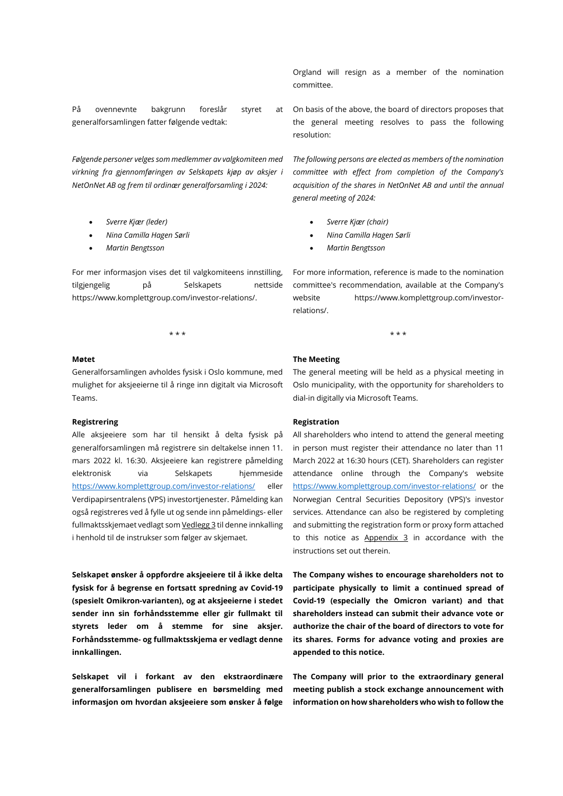På ovennevnte bakgrunn foreslår styret at generalforsamlingen fatter følgende vedtak:

*Følgende personer velges som medlemmer av valgkomiteen med virkning fra gjennomføringen av Selskapets kjøp av aksjer i NetOnNet AB og frem til ordinær generalforsamling i 2024:*

- 
- 
- 

For mer informasjon vises det til valgkomiteens innstilling, tilgjengelig på Selskapets nettside https://www.komplettgroup.com/investor-relations/.

# Generalforsamlingen avholdes fysisk i Oslo kommune, med mulighet for aksjeeierne til å ringe inn digitalt via Microsoft Teams.

### **Registrering Registration**

Alle aksjeeiere som har til hensikt å delta fysisk på generalforsamlingen må registrere sin deltakelse innen 11. mars 2022 kl. 16:30. Aksjeeiere kan registrere påmelding elektronisk via Selskapets hjemmeside <https://www.komplettgroup.com/investor-relations/> eller Verdipapirsentralens (VPS) investortjenester. Påmelding kan også registreres ved å fylle ut og sende inn påmeldings- eller fullmaktsskjemaet vedlagt som Vedlegg 3 til denne innkalling i henhold til de instrukser som følger av skjemaet.

**Selskapet ønsker å oppfordre aksjeeiere til å ikke delta fysisk for å begrense en fortsatt spredning av Covid-19 (spesielt Omikron-varianten), og at aksjeeierne i stedet sender inn sin forhåndsstemme eller gir fullmakt til styrets leder om å stemme for sine aksjer. Forhåndsstemme- og fullmaktsskjema er vedlagt denne innkallingen.**

**Selskapet vil i forkant av den ekstraordinære generalforsamlingen publisere en børsmelding med informasjon om hvordan aksjeeiere som ønsker å følge** 

Orgland will resign as a member of the nomination committee.

On basis of the above, the board of directors proposes that the general meeting resolves to pass the following resolution:

*The following persons are elected as members of the nomination committee with effect from completion of the Company's acquisition of the shares in NetOnNet AB and until the annual general meeting of 2024:*

- *Sverre Kjær (leder) Sverre Kjær (chair)*
- *Nina Camilla Hagen Sørli Nina Camilla Hagen Sørli*
- *Martin Bengtsson Martin Bengtsson*

For more information, reference is made to the nomination committee's recommendation, available at the Company's website https://www.komplettgroup.com/investorrelations/.

### **Møtet The Meeting**

\* \* \* \* \* \*

The general meeting will be held as a physical meeting in Oslo municipality, with the opportunity for shareholders to dial-in digitally via Microsoft Teams.

All shareholders who intend to attend the general meeting in person must register their attendance no later than 11 March 2022 at 16:30 hours (CET). Shareholders can register attendance online through the Company's website <https://www.komplettgroup.com/investor-relations/> or the Norwegian Central Securities Depository (VPS)'s investor services. Attendance can also be registered by completing and submitting the registration form or proxy form attached to this notice as Appendix 3 in accordance with the instructions set out therein.

**The Company wishes to encourage shareholders not to participate physically to limit a continued spread of Covid-19 (especially the Omicron variant) and that shareholders instead can submit their advance vote or authorize the chair of the board of directors to vote for its shares. Forms for advance voting and proxies are appended to this notice.**

**The Company will prior to the extraordinary general meeting publish a stock exchange announcement with information on how shareholders who wish to follow the**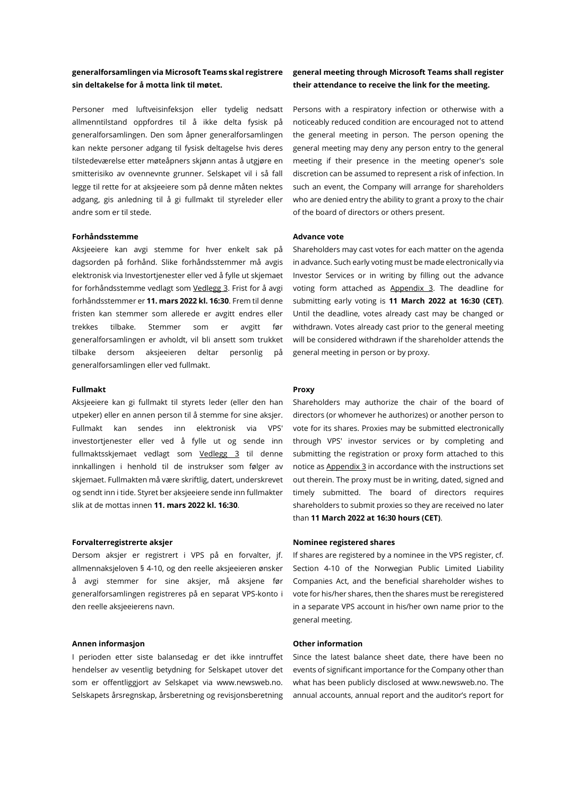# **generalforsamlingen via Microsoft Teams skal registrere sin deltakelse for å motta link til møtet.**

Personer med luftveisinfeksjon eller tydelig nedsatt allmenntilstand oppfordres til å ikke delta fysisk på generalforsamlingen. Den som åpner generalforsamlingen kan nekte personer adgang til fysisk deltagelse hvis deres tilstedeværelse etter møteåpners skjønn antas å utgjøre en smitterisiko av ovennevnte grunner. Selskapet vil i så fall legge til rette for at aksjeeiere som på denne måten nektes adgang, gis anledning til å gi fullmakt til styreleder eller andre som er til stede.

### **Forhåndsstemme Advance vote**

Aksjeeiere kan avgi stemme for hver enkelt sak på dagsorden på forhånd. Slike forhåndsstemmer må avgis elektronisk via Investortjenester eller ved å fylle ut skjemaet for forhåndsstemme vedlagt som Vedlegg 3. Frist for å avgi forhåndsstemmer er **11. mars 2022 kl. 16:30**. Frem til denne fristen kan stemmer som allerede er avgitt endres eller trekkes tilbake. Stemmer som er avgitt før generalforsamlingen er avholdt, vil bli ansett som trukket tilbake dersom aksjeeieren deltar personlig på generalforsamlingen eller ved fullmakt.

#### **Fullmakt Proxy**

Aksjeeiere kan gi fullmakt til styrets leder (eller den han utpeker) eller en annen person til å stemme for sine aksjer. Fullmakt kan sendes inn elektronisk via VPS' investortjenester eller ved å fylle ut og sende inn fullmaktsskjemaet vedlagt som Vedlegg 3 til denne innkallingen i henhold til de instrukser som følger av skjemaet. Fullmakten må være skriftlig, datert, underskrevet og sendt inn i tide. Styret ber aksjeeiere sende inn fullmakter slik at de mottas innen **11. mars 2022 kl. 16:30**.

### **Forvalterregistrerte aksjer Nominee registered shares**

Dersom aksjer er registrert i VPS på en forvalter, jf. allmennaksjeloven § 4-10, og den reelle aksjeeieren ønsker å avgi stemmer for sine aksjer, må aksjene før generalforsamlingen registreres på en separat VPS-konto i den reelle aksjeeierens navn.

#### **Annen informasjon Other information**

I perioden etter siste balansedag er det ikke inntruffet hendelser av vesentlig betydning for Selskapet utover det som er offentliggjort av Selskapet via www.newsweb.no. Selskapets årsregnskap, årsberetning og revisjonsberetning

# **general meeting through Microsoft Teams shall register their attendance to receive the link for the meeting.**

Persons with a respiratory infection or otherwise with a noticeably reduced condition are encouraged not to attend the general meeting in person. The person opening the general meeting may deny any person entry to the general meeting if their presence in the meeting opener's sole discretion can be assumed to represent a risk of infection. In such an event, the Company will arrange for shareholders who are denied entry the ability to grant a proxy to the chair of the board of directors or others present.

Shareholders may cast votes for each matter on the agenda in advance. Such early voting must be made electronically via Investor Services or in writing by filling out the advance voting form attached as Appendix 3. The deadline for submitting early voting is **11 March 2022 at 16:30 (CET)**. Until the deadline, votes already cast may be changed or withdrawn. Votes already cast prior to the general meeting will be considered withdrawn if the shareholder attends the general meeting in person or by proxy.

Shareholders may authorize the chair of the board of directors (or whomever he authorizes) or another person to vote for its shares. Proxies may be submitted electronically through VPS' investor services or by completing and submitting the registration or proxy form attached to this notice as Appendix 3 in accordance with the instructions set out therein. The proxy must be in writing, dated, signed and timely submitted. The board of directors requires shareholders to submit proxies so they are received no later than **11 March 2022 at 16:30 hours (CET)**.

If shares are registered by a nominee in the VPS register, cf. Section 4-10 of the Norwegian Public Limited Liability Companies Act, and the beneficial shareholder wishes to vote for his/her shares, then the shares must be reregistered in a separate VPS account in his/her own name prior to the general meeting.

Since the latest balance sheet date, there have been no events of significant importance for the Company other than what has been publicly disclosed at www.newsweb.no. The annual accounts, annual report and the auditor's report for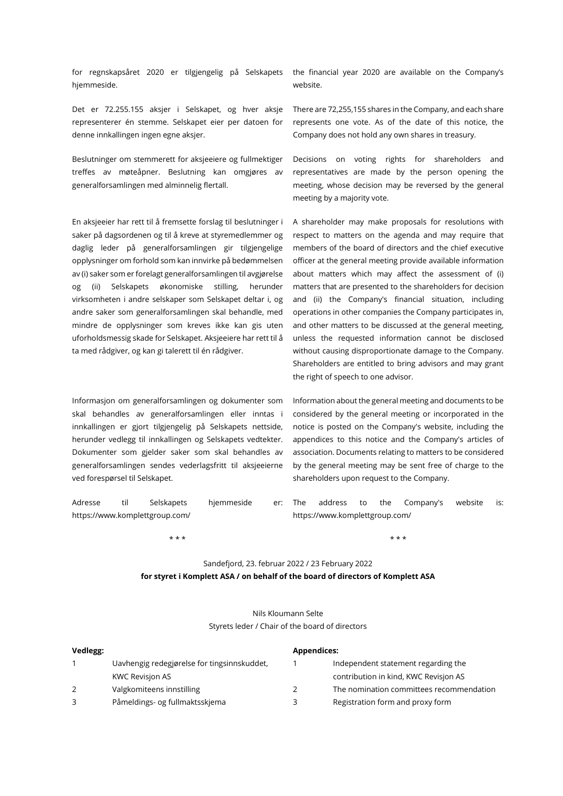for regnskapsåret 2020 er tilgjengelig på Selskapets hjemmeside.

Det er 72.255.155 aksjer i Selskapet, og hver aksje representerer én stemme. Selskapet eier per datoen for denne innkallingen ingen egne aksjer.

Beslutninger om stemmerett for aksjeeiere og fullmektiger treffes av møteåpner. Beslutning kan omgjøres av generalforsamlingen med alminnelig flertall.

En aksjeeier har rett til å fremsette forslag til beslutninger i saker på dagsordenen og til å kreve at styremedlemmer og daglig leder på generalforsamlingen gir tilgjengelige opplysninger om forhold som kan innvirke på bedømmelsen av (i) saker som er forelagt generalforsamlingen til avgjørelse og (ii) Selskapets økonomiske stilling, herunder virksomheten i andre selskaper som Selskapet deltar i, og andre saker som generalforsamlingen skal behandle, med mindre de opplysninger som kreves ikke kan gis uten uforholdsmessig skade for Selskapet. Aksjeeiere har rett til å ta med rådgiver, og kan gi talerett til én rådgiver.

Informasjon om generalforsamlingen og dokumenter som skal behandles av generalforsamlingen eller inntas i innkallingen er gjort tilgjengelig på Selskapets nettside, herunder vedlegg til innkallingen og Selskapets vedtekter. Dokumenter som gjelder saker som skal behandles av generalforsamlingen sendes vederlagsfritt til aksjeeierne ved forespørsel til Selskapet.

the financial year 2020 are available on the Company's website.

There are 72,255,155 shares in the Company, and each share represents one vote. As of the date of this notice, the Company does not hold any own shares in treasury.

Decisions on voting rights for shareholders and representatives are made by the person opening the meeting, whose decision may be reversed by the general meeting by a majority vote.

A shareholder may make proposals for resolutions with respect to matters on the agenda and may require that members of the board of directors and the chief executive officer at the general meeting provide available information about matters which may affect the assessment of (i) matters that are presented to the shareholders for decision and (ii) the Company's financial situation, including operations in other companies the Company participates in, and other matters to be discussed at the general meeting, unless the requested information cannot be disclosed without causing disproportionate damage to the Company. Shareholders are entitled to bring advisors and may grant the right of speech to one advisor.

Information about the general meeting and documents to be considered by the general meeting or incorporated in the notice is posted on the Company's website, including the appendices to this notice and the Company's articles of association. Documents relating to matters to be considered by the general meeting may be sent free of charge to the shareholders upon request to the Company.

Adresse til Selskapets hjemmeside er: The https://www.komplettgroup.com/ address to the Company's website is: https://www.komplettgroup.com/

\* \* \* \* \* \*

# Sandefjord, 23. februar 2022 / 23 February 2022

**for styret i Komplett ASA / on behalf of the board of directors of Komplett ASA**

| Nils Kloumann Selte                             |  |  |
|-------------------------------------------------|--|--|
| Styrets leder / Chair of the board of directors |  |  |

| Vedlegg: |                                             | Appendices:                              |  |  |
|----------|---------------------------------------------|------------------------------------------|--|--|
|          | Uavhengig redegiørelse for tingsinnskuddet, | Independent statement regarding the      |  |  |
|          | KWC Revisjon AS                             | contribution in kind, KWC Revision AS    |  |  |
|          | Valgkomiteens innstilling                   | The nomination committees recommendation |  |  |
|          | Påmeldings- og fullmaktsskjema              | Registration form and proxy form         |  |  |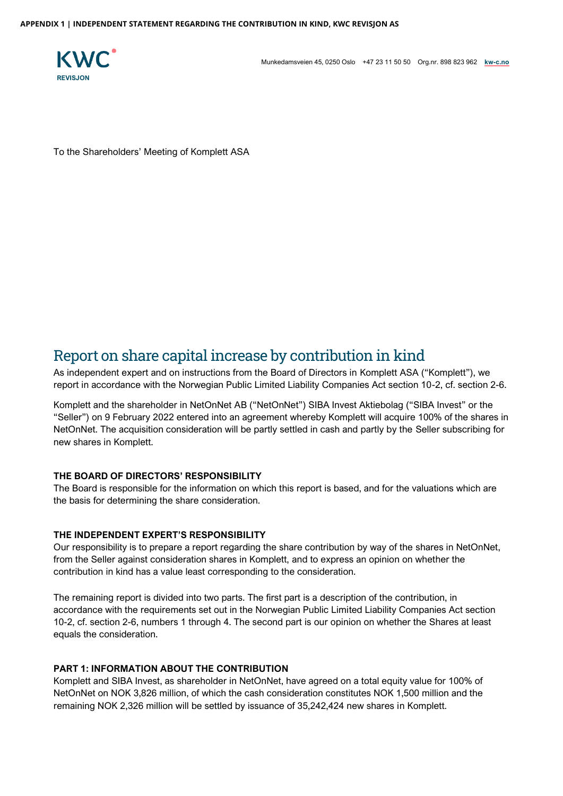

Munkedamsveien 45, 0250 Oslo +47 23 11 50 50 Org.nr. 898 823 962 **[kw-c.no](http://www.kw-c.no/)**

To the Shareholders' Meeting of Komplett ASA

# Report on share capital increase by contribution in kind

As independent expert and on instructions from the Board of Directors in Komplett ASA ("Komplett"), we report in accordance with the Norwegian Public Limited Liability Companies Act section 10-2, cf. section 2-6.

Komplett and the shareholder in NetOnNet AB ("NetOnNet") SIBA Invest Aktiebolag ("SIBA Invest" or the "Seller") on 9 February 2022 entered into an agreement whereby Komplett will acquire 100% of the shares in NetOnNet. The acquisition consideration will be partly settled in cash and partly by the Seller subscribing for new shares in Komplett.

# **THE BOARD OF DIRECTORS' RESPONSIBILITY**

The Board is responsible for the information on which this report is based, and for the valuations which are the basis for determining the share consideration.

# **THE INDEPENDENT EXPERT'S RESPONSIBILITY**

Our responsibility is to prepare a report regarding the share contribution by way of the shares in NetOnNet, from the Seller against consideration shares in Komplett, and to express an opinion on whether the contribution in kind has a value least corresponding to the consideration.

The remaining report is divided into two parts. The first part is a description of the contribution, in accordance with the requirements set out in the Norwegian Public Limited Liability Companies Act section 10-2, cf. section 2-6, numbers 1 through 4. The second part is our opinion on whether the Shares at least equals the consideration.

# **PART 1: INFORMATION ABOUT THE CONTRIBUTION**

Komplett and SIBA Invest, as shareholder in NetOnNet, have agreed on a total equity value for 100% of NetOnNet on NOK 3,826 million, of which the cash consideration constitutes NOK 1,500 million and the remaining NOK 2,326 million will be settled by issuance of 35,242,424 new shares in Komplett.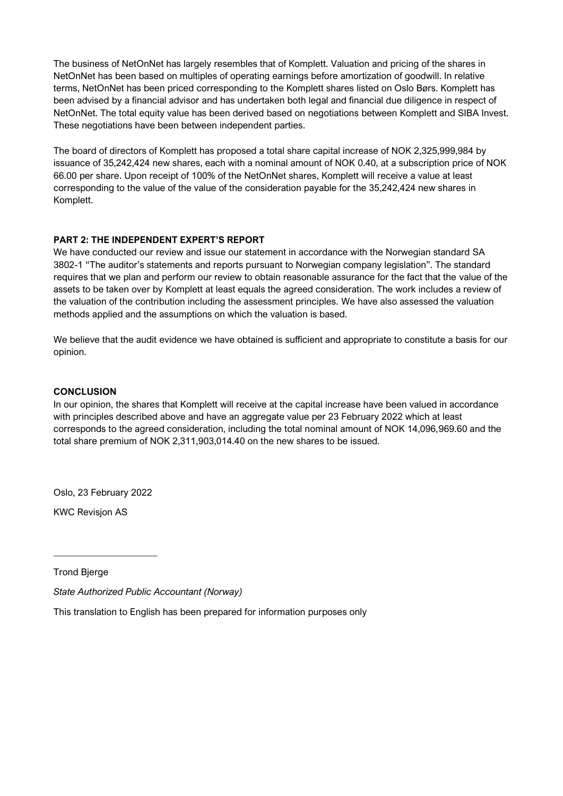The business of NetOnNet has largely resembles that of Komplett. Valuation and pricing of the shares in NetOnNet has been based on multiples of operating earnings before amortization of goodwill. In relative terms, NetOnNet has been priced corresponding to the Komplett shares listed on Oslo Børs. Komplett has been advised by a financial advisor and has undertaken both legal and financial due diligence in respect of NetOnNet. The total equity value has been derived based on negotiations between Komplett and SIBA Invest. These negotiations have been between independent parties.

The board of directors of Komplett has proposed a total share capital increase of NOK 2,325,999,984 by issuance of 35,242,424 new shares, each with a nominal amount of NOK 0.40, at a subscription price of NOK 66.00 per share. Upon receipt of 100% of the NetOnNet shares, Komplett will receive a value at least corresponding to the value of the value of the consideration payable for the 35,242,424 new shares in Komplett.

# **PART 2: THE INDEPENDENT EXPERT'S REPORT**

We have conducted our review and issue our statement in accordance with the Norwegian standard SA 3802-1 "The auditor's statements and reports pursuant to Norwegian company legislation". The standard requires that we plan and perform our review to obtain reasonable assurance for the fact that the value of the assets to be taken over by Komplett at least equals the agreed consideration. The work includes a review of the valuation of the contribution including the assessment principles. We have also assessed the valuation methods applied and the assumptions on which the valuation is based.

We believe that the audit evidence we have obtained is sufficient and appropriate to constitute a basis for our opinion.

# **CONCLUSION**

In our opinion, the shares that Komplett will receive at the capital increase have been valued in accordance with principles described above and have an aggregate value per 23 February 2022 which at least corresponds to the agreed consideration, including the total nominal amount of NOK 14,096,969.60 and the total share premium of NOK 2,311,903,014.40 on the new shares to be issued.

Oslo, 23 February 2022

 $\_$ 

KWC Revisjon AS

Trond Bjerge

*State Authorized Public Accountant (Norway)* 

This translation to English has been prepared for information purposes only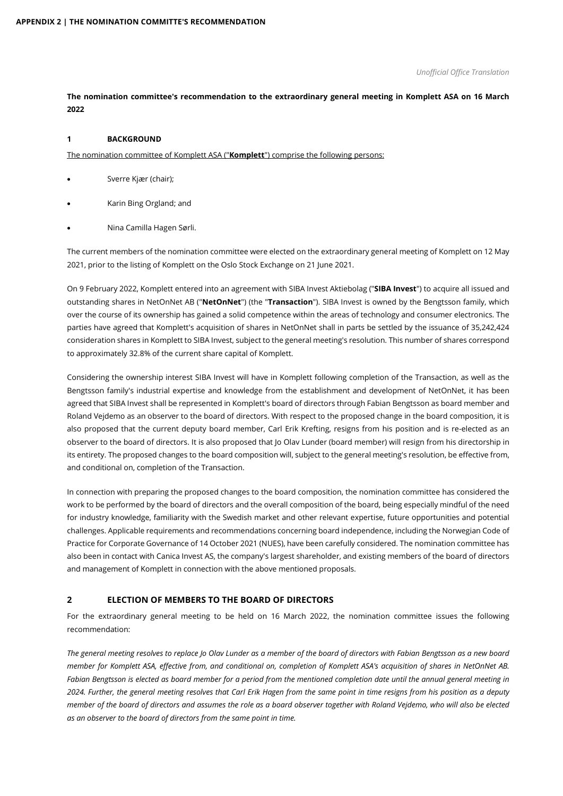### *Unofficial Office Translation*

# **The nomination committee's recommendation to the extraordinary general meeting in Komplett ASA on 16 March 2022**

# **1 BACKGROUND**

The nomination committee of Komplett ASA ("**Komplett**") comprise the following persons:

- Sverre Kjær (chair);
- Karin Bing Orgland; and
- Nina Camilla Hagen Sørli.

The current members of the nomination committee were elected on the extraordinary general meeting of Komplett on 12 May 2021, prior to the listing of Komplett on the Oslo Stock Exchange on 21 June 2021.

On 9 February 2022, Komplett entered into an agreement with SIBA Invest Aktiebolag ("**SIBA Invest**") to acquire all issued and outstanding shares in NetOnNet AB ("**NetOnNet**") (the "**Transaction**"). SIBA Invest is owned by the Bengtsson family, which over the course of its ownership has gained a solid competence within the areas of technology and consumer electronics. The parties have agreed that Komplett's acquisition of shares in NetOnNet shall in parts be settled by the issuance of 35,242,424 consideration shares in Komplett to SIBA Invest, subject to the general meeting's resolution. This number of shares correspond to approximately 32.8% of the current share capital of Komplett.

Considering the ownership interest SIBA Invest will have in Komplett following completion of the Transaction, as well as the Bengtsson family's industrial expertise and knowledge from the establishment and development of NetOnNet, it has been agreed that SIBA Invest shall be represented in Komplett's board of directors through Fabian Bengtsson as board member and Roland Vejdemo as an observer to the board of directors. With respect to the proposed change in the board composition, it is also proposed that the current deputy board member, Carl Erik Krefting, resigns from his position and is re-elected as an observer to the board of directors. It is also proposed that Jo Olav Lunder (board member) will resign from his directorship in its entirety. The proposed changes to the board composition will, subject to the general meeting's resolution, be effective from, and conditional on, completion of the Transaction.

In connection with preparing the proposed changes to the board composition, the nomination committee has considered the work to be performed by the board of directors and the overall composition of the board, being especially mindful of the need for industry knowledge, familiarity with the Swedish market and other relevant expertise, future opportunities and potential challenges. Applicable requirements and recommendations concerning board independence, including the Norwegian Code of Practice for Corporate Governance of 14 October 2021 (NUES), have been carefully considered. The nomination committee has also been in contact with Canica Invest AS, the company's largest shareholder, and existing members of the board of directors and management of Komplett in connection with the above mentioned proposals.

# **2 ELECTION OF MEMBERS TO THE BOARD OF DIRECTORS**

For the extraordinary general meeting to be held on 16 March 2022, the nomination committee issues the following recommendation:

*The general meeting resolves to replace Jo Olav Lunder as a member of the board of directors with Fabian Bengtsson as a new board member for Komplett ASA, effective from, and conditional on, completion of Komplett ASA's acquisition of shares in NetOnNet AB. Fabian Bengtsson is elected as board member for a period from the mentioned completion date until the annual general meeting in 2024. Further, the general meeting resolves that Carl Erik Hagen from the same point in time resigns from his position as a deputy member of the board of directors and assumes the role as a board observer together with Roland Vejdemo, who will also be elected as an observer to the board of directors from the same point in time.*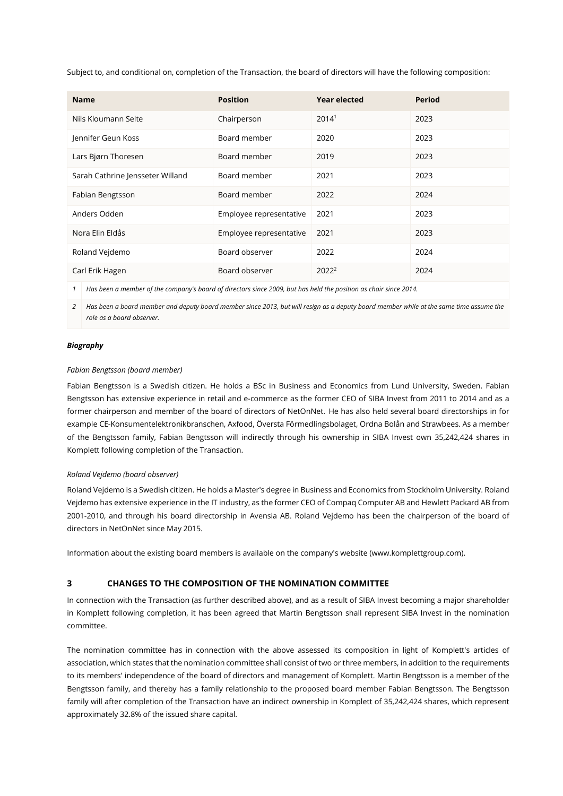Subject to, and conditional on, completion of the Transaction, the board of directors will have the following composition:

| <b>Name</b>                      | <b>Position</b>         | <b>Year elected</b> | <b>Period</b> |
|----------------------------------|-------------------------|---------------------|---------------|
| Nils Kloumann Selte              | Chairperson             | 2014 <sup>1</sup>   | 2023          |
| Jennifer Geun Koss               | Board member            | 2020                | 2023          |
| Lars Bjørn Thoresen              | Board member            | 2019                | 2023          |
| Sarah Cathrine Jensseter Willand | Board member            | 2021                | 2023          |
| Fabian Bengtsson                 | Board member            | 2022                | 2024          |
| Anders Odden                     | Employee representative | 2021                | 2023          |
| Nora Elin Eldås                  | Employee representative | 2021                | 2023          |
| Roland Vejdemo                   | Board observer          | 2022                | 2024          |
| Carl Erik Hagen                  | Board observer          | $2022^2$            | 2024          |

1 Has been a member of the company's board of directors since 2009, but has held the position as chair since 2014.

*2 Has been a board member and deputy board member since 2013, but will resign as a deputy board member while at the same time assume the role as a board observer.* 

# *Biography*

# *Fabian Bengtsson (board member)*

Fabian Bengtsson is a Swedish citizen. He holds a BSc in Business and Economics from Lund University, Sweden. Fabian Bengtsson has extensive experience in retail and e-commerce as the former CEO of SIBA Invest from 2011 to 2014 and as a former chairperson and member of the board of directors of NetOnNet. He has also held several board directorships in for example CE-Konsumentelektronikbranschen, Axfood, Översta Förmedlingsbolaget, Ordna Bolån and Strawbees. As a member of the Bengtsson family, Fabian Bengtsson will indirectly through his ownership in SIBA Invest own 35,242,424 shares in Komplett following completion of the Transaction.

#### *Roland Vejdemo (board observer)*

Roland Vejdemo is a Swedish citizen. He holds a Master's degree in Business and Economics from Stockholm University. Roland Vejdemo has extensive experience in the IT industry, as the former CEO of Compaq Computer AB and Hewlett Packard AB from 2001-2010, and through his board directorship in Avensia AB. Roland Vejdemo has been the chairperson of the board of directors in NetOnNet since May 2015.

Information about the existing board members is available on the company's website (www.komplettgroup.com).

# **3 CHANGES TO THE COMPOSITION OF THE NOMINATION COMMITTEE**

In connection with the Transaction (as further described above), and as a result of SIBA Invest becoming a major shareholder in Komplett following completion, it has been agreed that Martin Bengtsson shall represent SIBA Invest in the nomination committee.

The nomination committee has in connection with the above assessed its composition in light of Komplett's articles of association, which states that the nomination committee shall consist of two or three members, in addition to the requirements to its members' independence of the board of directors and management of Komplett. Martin Bengtsson is a member of the Bengtsson family, and thereby has a family relationship to the proposed board member Fabian Bengtsson. The Bengtsson family will after completion of the Transaction have an indirect ownership in Komplett of 35,242,424 shares, which represent approximately 32.8% of the issued share capital.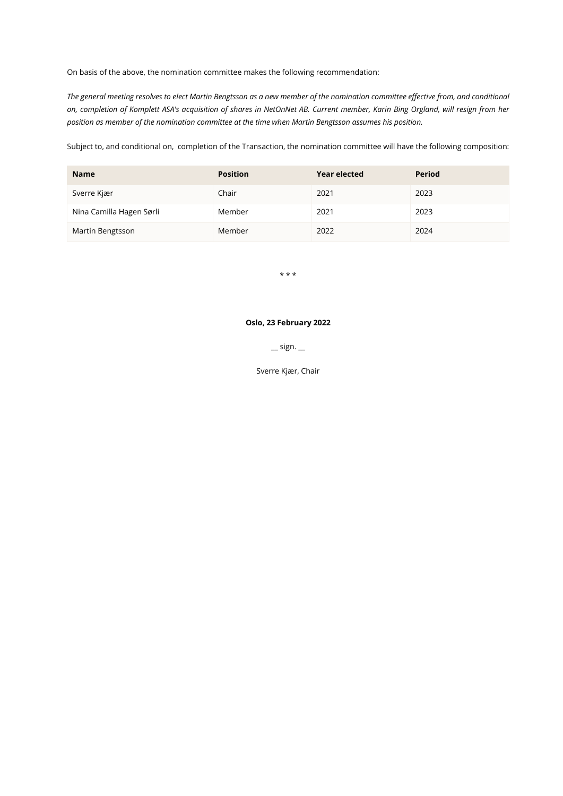On basis of the above, the nomination committee makes the following recommendation:

*The general meeting resolves to elect Martin Bengtsson as a new member of the nomination committee effective from, and conditional on, completion of Komplett ASA's acquisition of shares in NetOnNet AB. Current member, Karin Bing Orgland, will resign from her position as member of the nomination committee at the time when Martin Bengtsson assumes his position.* 

Subject to, and conditional on, completion of the Transaction, the nomination committee will have the following composition:

| <b>Name</b>              | <b>Position</b> | <b>Year elected</b> | Period |
|--------------------------|-----------------|---------------------|--------|
| Sverre Kjær              | Chair           | 2021                | 2023   |
| Nina Camilla Hagen Sørli | Member          | 2021                | 2023   |
| Martin Bengtsson         | Member          | 2022                | 2024   |

\* \* \*

# **Oslo, 23 February 2022**

 $\equiv$  sign.  $\equiv$ 

Sverre Kjær, Chair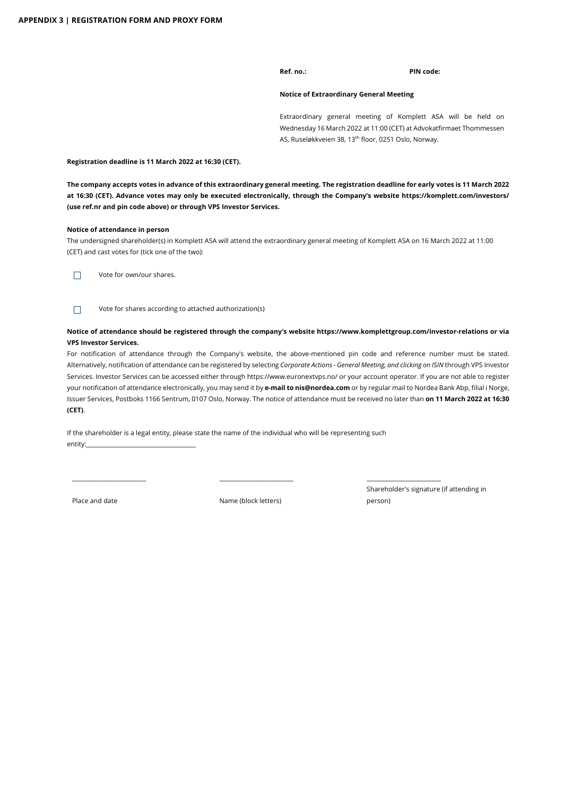**Ref. no.: PIN code:**

#### **Notice of Extraordinary General Meeting**

Extraordinary general meeting of Komplett ASA will be held on Wednesday 16 March 2022 at 11:00 (CET) at Advokatfirmaet Thommessen AS, Ruseløkkveien 38, 13<sup>th</sup> floor, 0251 Oslo, Norway.

**Registration deadline is 11 March 2022 at 16:30 (CET).**

**The company accepts votes in advance of this extraordinary general meeting. The registration deadline for early votes is 11 March 2022 at 16:30 (CET). Advance votes may only be executed electronically, through the Company's website https://komplett.com/investors/ (use ref.nr and pin code above) or through VPS Investor Services.** 

#### **Notice of attendance in person**

The undersigned shareholder(s) in Komplett ASA will attend the extraordinary general meeting of Komplett ASA on 16 March 2022 at 11:00 (CET) and cast votes for (tick one of the two):

 $\Box$ Vote for own/our shares.

Vote for shares according to attached authorization(s)  $\Box$ 

### **Notice of attendance should be registered through the company's websit[e https://www.komplettgroup.com/investor-relations](https://www.komplettgroup.com/investor-relations) or via VPS Investor Services.**

For notification of attendance through the Company's website, the above-mentioned pin code and reference number must be stated. Alternatively, notification of attendance can be registered by selecting *Corporate Actions - General Meeting, and clicking on ISIN* through VPS Investor Services. Investor Services can be accessed either through https://www.euronextvps.no/ or your account operator. If you are not able to register your notification of attendance electronically, you may send it by **e-mail to nis@nordea.com** or by regular mail to Nordea Bank Abp, filial i Norge, Issuer Services, Postboks 1166 Sentrum, 0107 Oslo, Norway. The notice of attendance must be received no later than **on 11 March 2022 at 16:30 (CET)**.

If the shareholder is a legal entity, please state the name of the individual who will be representing such entity:

Place and date Name (block letters)

\_\_\_\_\_\_\_\_\_\_\_\_\_\_\_\_\_\_\_\_\_\_\_\_\_ \_\_\_\_\_\_\_\_\_\_\_\_\_\_\_\_\_\_\_\_\_\_\_\_\_ \_\_\_\_\_\_\_\_\_\_\_\_\_\_\_\_\_\_\_\_\_\_\_\_\_

Shareholder's signature (if attending in person)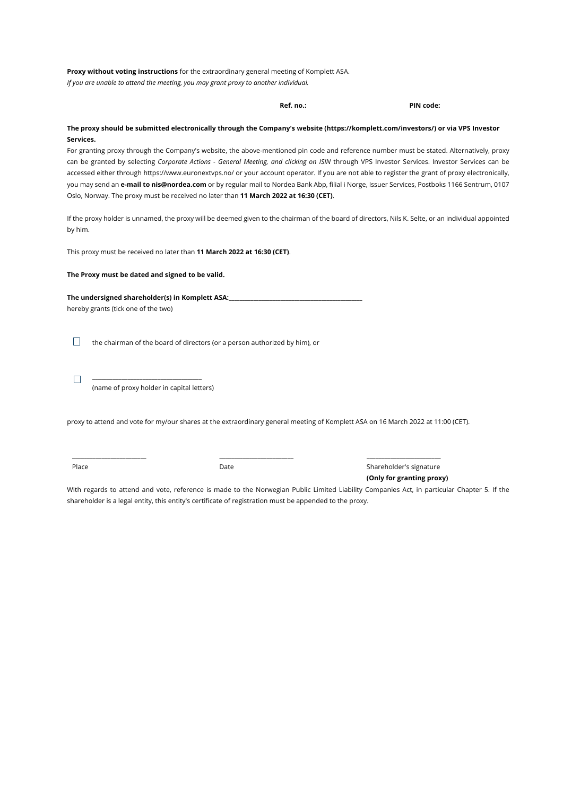**Proxy without voting instructions** for the extraordinary general meeting of Komplett ASA. *If you are unable to attend the meeting, you may grant proxy to another individual.*

**Ref. no.: PIN code: The proxy should be submitted electronically through the Company's website (https://komplett.com/investors/) or via VPS Investor Services.** For granting proxy through the Company's website, the above-mentioned pin code and reference number must be stated. Alternatively, proxy can be granted by selecting *Corporate Actions - General Meeting, and clicking on ISIN* through VPS Investor Services. Investor Services can be accessed either through https://www.euronextvps.no/ or your account operator. If you are not able to register the grant of proxy electronically, you may send an **e-mail to nis@nordea.com** or by regular mail to Nordea Bank Abp, filial i Norge, Issuer Services, Postboks 1166 Sentrum, 0107 Oslo, Norway. The proxy must be received no later than **11 March 2022 at 16:30 (CET)**. If the proxy holder is unnamed, the proxy will be deemed given to the chairman of the board of directors, Nils K. Selte, or an individual appointed by him. This proxy must be received no later than **11 March 2022 at 16:30 (CET)**. **The Proxy must be dated and signed to be valid. The undersigned shareholder(s) in Komplett ASA:\_\_\_\_\_\_\_\_\_\_\_\_\_\_\_\_\_\_\_\_\_\_\_\_\_\_\_\_\_\_\_\_\_\_\_\_\_\_\_\_\_\_\_\_\_\_\_\_\_** hereby grants (tick one of the two)  $\Box$ the chairman of the board of directors (or a person authorized by him), or \_\_\_\_\_\_\_\_\_\_\_\_\_\_\_\_\_\_\_\_\_\_\_\_\_\_\_\_\_\_\_\_\_\_\_\_\_  $\Box$ (name of proxy holder in capital letters) proxy to attend and vote for my/our shares at the extraordinary general meeting of Komplett ASA on 16 March 2022 at 11:00 (CET). \_\_\_\_\_\_\_\_\_\_\_\_\_\_\_\_\_\_\_\_\_\_\_\_\_ \_\_\_\_\_\_\_\_\_\_\_\_\_\_\_\_\_\_\_\_\_\_\_\_\_ \_\_\_\_\_\_\_\_\_\_\_\_\_\_\_\_\_\_\_\_\_\_\_\_\_ Place **Contract Contract Contract Contract Contract Contract Contract Contract Contract Contract Contract Contract Contract Contract Contract Contract Contract Contract Contract Contract Contract Contract Contract Contract** 

With regards to attend and vote, reference is made to the Norwegian Public Limited Liability Companies Act, in particular Chapter 5. If the shareholder is a legal entity, this entity's certificate of registration must be appended to the proxy.

**(Only for granting proxy)**